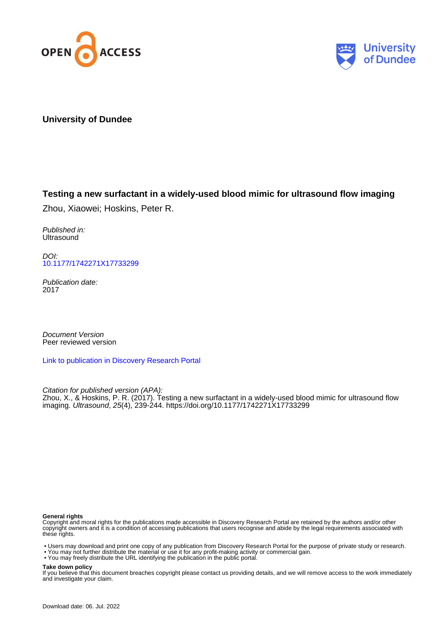



**University of Dundee**

### **Testing a new surfactant in a widely-used blood mimic for ultrasound flow imaging**

Zhou, Xiaowei; Hoskins, Peter R.

Published in: **Ultrasound** 

DOI: [10.1177/1742271X17733299](https://doi.org/10.1177/1742271X17733299)

Publication date: 2017

Document Version Peer reviewed version

[Link to publication in Discovery Research Portal](https://discovery.dundee.ac.uk/en/publications/70415538-683b-4ca0-a966-67bca642e8b6)

Citation for published version (APA):

Zhou, X., & Hoskins, P. R. (2017). Testing a new surfactant in a widely-used blood mimic for ultrasound flow imaging. Ultrasound, 25(4), 239-244. <https://doi.org/10.1177/1742271X17733299>

#### **General rights**

Copyright and moral rights for the publications made accessible in Discovery Research Portal are retained by the authors and/or other copyright owners and it is a condition of accessing publications that users recognise and abide by the legal requirements associated with these rights.

- Users may download and print one copy of any publication from Discovery Research Portal for the purpose of private study or research.
- You may not further distribute the material or use it for any profit-making activity or commercial gain.
- You may freely distribute the URL identifying the publication in the public portal.

#### **Take down policy**

If you believe that this document breaches copyright please contact us providing details, and we will remove access to the work immediately and investigate your claim.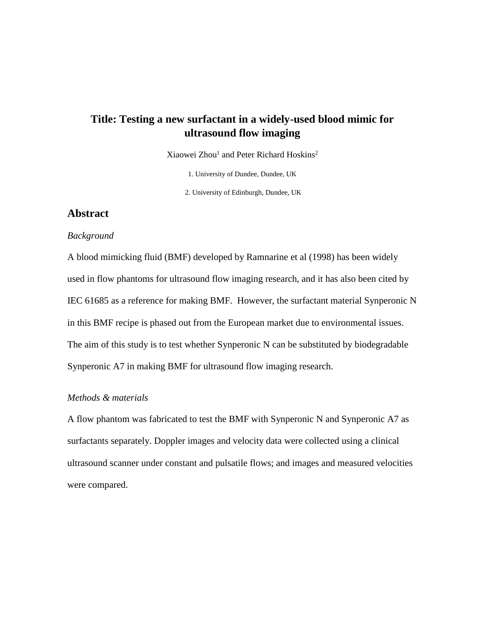### **Title: Testing a new surfactant in a widely-used blood mimic for ultrasound flow imaging**

Xiaowei Zhou<sup>1</sup> and Peter Richard Hoskins<sup>2</sup>

1. University of Dundee, Dundee, UK

2. University of Edinburgh, Dundee, UK

### **Abstract**

#### *Background*

A blood mimicking fluid (BMF) developed by Ramnarine et al (1998) has been widely used in flow phantoms for ultrasound flow imaging research, and it has also been cited by IEC 61685 as a reference for making BMF. However, the surfactant material Synperonic N in this BMF recipe is phased out from the European market due to environmental issues. The aim of this study is to test whether Synperonic N can be substituted by biodegradable Synperonic A7 in making BMF for ultrasound flow imaging research.

### *Methods & materials*

A flow phantom was fabricated to test the BMF with Synperonic N and Synperonic A7 as surfactants separately. Doppler images and velocity data were collected using a clinical ultrasound scanner under constant and pulsatile flows; and images and measured velocities were compared.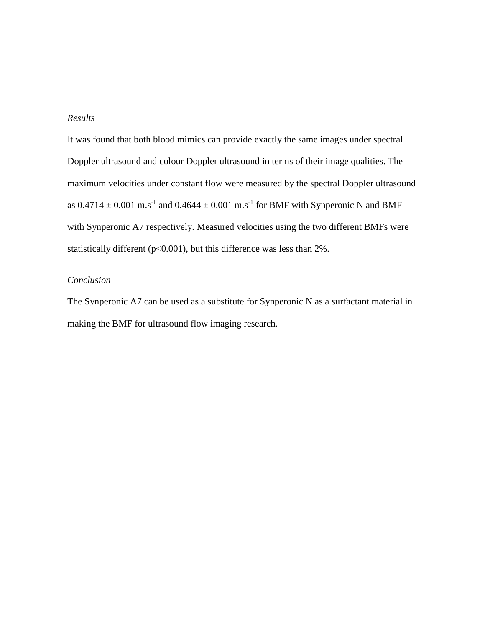### *Results*

It was found that both blood mimics can provide exactly the same images under spectral Doppler ultrasound and colour Doppler ultrasound in terms of their image qualities. The maximum velocities under constant flow were measured by the spectral Doppler ultrasound as  $0.4714 \pm 0.001$  m.s<sup>-1</sup> and  $0.4644 \pm 0.001$  m.s<sup>-1</sup> for BMF with Synperonic N and BMF with Synperonic A7 respectively. Measured velocities using the two different BMFs were statistically different (p<0.001), but this difference was less than 2%.

### *Conclusion*

The Synperonic A7 can be used as a substitute for Synperonic N as a surfactant material in making the BMF for ultrasound flow imaging research.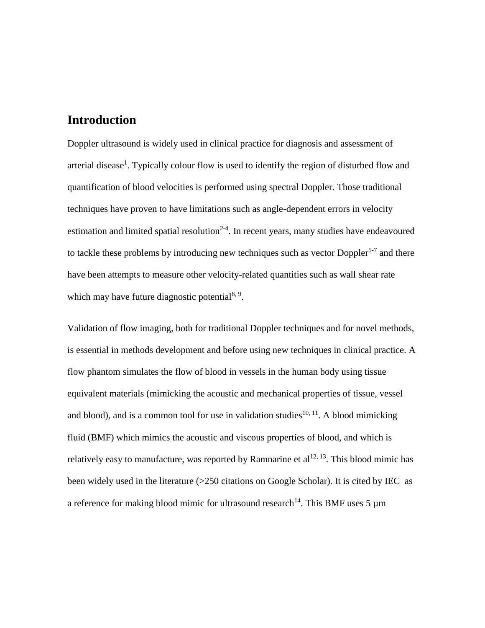## **Introduction**

Doppler ultrasound is widely used in clinical practice for diagnosis and assessment of arterial disease<sup>[1](#page-13-0)</sup>. Typically colour flow is used to identify the region of disturbed flow and quantification of blood velocities is performed using spectral Doppler. Those traditional techniques have proven to have limitations such as angle-dependent errors in velocity estimation and limited spatial resolution<sup>[2-4](#page-13-1)</sup>. In recent years, many studies have endeavoured to tackle these problems by introducing new techniques such as vector Doppler<sup>[5-7](#page-13-2)</sup> and there have been attempts to measure other velocity-related quantities such as wall shear rate which may have future diagnostic potential<sup>[8,](#page-13-3) [9](#page-13-4)</sup>.

Validation of flow imaging, both for traditional Doppler techniques and for novel methods, is essential in methods development and before using new techniques in clinical practice. A flow phantom simulates the flow of blood in vessels in the human body using tissue equivalent materials (mimicking the acoustic and mechanical properties of tissue, vessel and blood), and is a common tool for use in validation studies<sup>[10,](#page-13-5) [11](#page-13-6)</sup>. A blood mimicking fluid (BMF) which mimics the acoustic and viscous properties of blood, and which is relatively easy to manufacture, was reported by Ramnarine et  $al^{12, 13}$  $al^{12, 13}$  $al^{12, 13}$  $al^{12, 13}$ . This blood mimic has been widely used in the literature (>250 citations on Google Scholar). It is cited by IEC as a reference for making blood mimic for ultrasound research<sup>[14](#page-13-9)</sup>. This BMF uses 5  $\mu$ m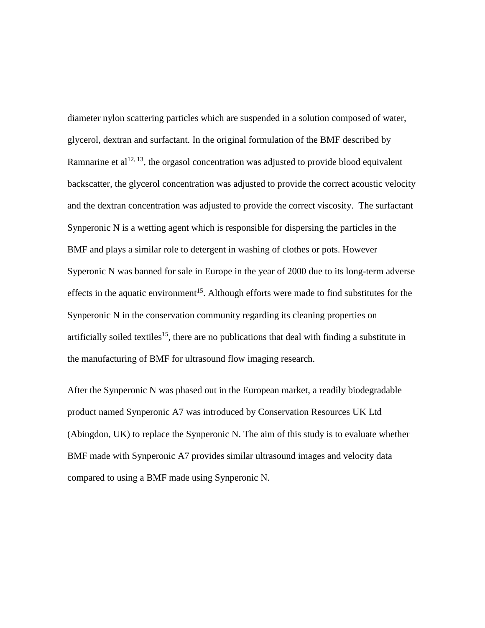diameter nylon scattering particles which are suspended in a solution composed of water, glycerol, dextran and surfactant. In the original formulation of the BMF described by Ramnarine et al<sup>12, 13</sup>, the orgasol concentration was adjusted to provide blood equivalent backscatter, the glycerol concentration was adjusted to provide the correct acoustic velocity and the dextran concentration was adjusted to provide the correct viscosity. The surfactant Synperonic N is a wetting agent which is responsible for dispersing the particles in the BMF and plays a similar role to detergent in washing of clothes or pots. However Syperonic N was banned for sale in Europe in the year of 2000 due to its long-term adverse effects in the aquatic environment<sup>[15](#page-13-10)</sup>. Although efforts were made to find substitutes for the Synperonic N in the conservation community regarding its cleaning properties on artificially soiled textiles<sup>[15](#page-13-10)</sup>, there are no publications that deal with finding a substitute in the manufacturing of BMF for ultrasound flow imaging research.

After the Synperonic N was phased out in the European market, a readily biodegradable product named Synperonic A7 was introduced by Conservation Resources UK Ltd (Abingdon, UK) to replace the Synperonic N. The aim of this study is to evaluate whether BMF made with Synperonic A7 provides similar ultrasound images and velocity data compared to using a BMF made using Synperonic N.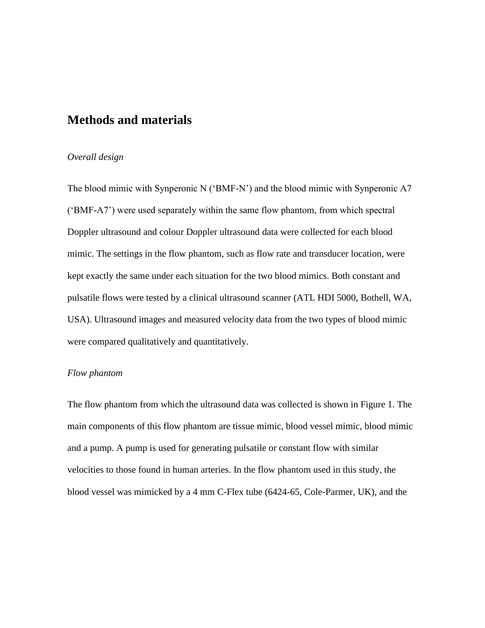### **Methods and materials**

#### *Overall design*

The blood mimic with Synperonic N ('BMF-N') and the blood mimic with Synperonic A7 ('BMF-A7') were used separately within the same flow phantom, from which spectral Doppler ultrasound and colour Doppler ultrasound data were collected for each blood mimic. The settings in the flow phantom, such as flow rate and transducer location, were kept exactly the same under each situation for the two blood mimics. Both constant and pulsatile flows were tested by a clinical ultrasound scanner (ATL HDI 5000, Bothell, WA, USA). Ultrasound images and measured velocity data from the two types of blood mimic were compared qualitatively and quantitatively.

#### *Flow phantom*

The flow phantom from which the ultrasound data was collected is shown in Figure 1. The main components of this flow phantom are tissue mimic, blood vessel mimic, blood mimic and a pump. A pump is used for generating pulsatile or constant flow with similar velocities to those found in human arteries. In the flow phantom used in this study, the blood vessel was mimicked by a 4 mm C-Flex tube (6424-65, Cole-Parmer, UK), and the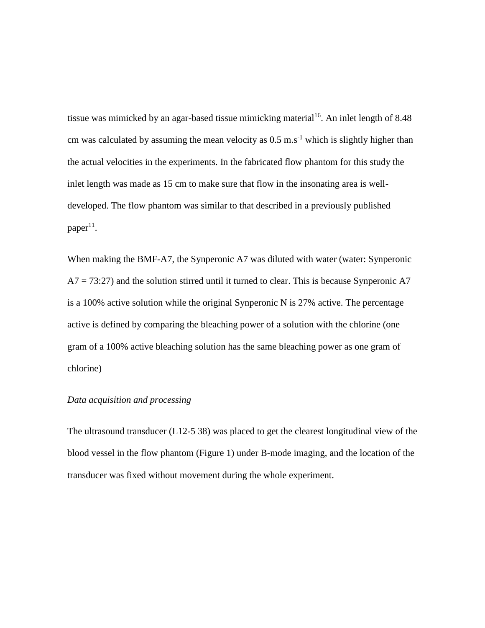tissue was mimicked by an agar-based tissue mimicking material<sup>[16](#page-14-0)</sup>. An inlet length of 8.48 cm was calculated by assuming the mean velocity as  $0.5 \text{ m.s}^{-1}$  which is slightly higher than the actual velocities in the experiments. In the fabricated flow phantom for this study the inlet length was made as 15 cm to make sure that flow in the insonating area is welldeveloped. The flow phantom was similar to that described in a previously published  $paper<sup>11</sup>$  $paper<sup>11</sup>$  $paper<sup>11</sup>$ .

When making the BMF-A7, the Synperonic A7 was diluted with water (water: Synperonic  $A7 = 73:27$ ) and the solution stirred until it turned to clear. This is because Synperonic A7 is a 100% active solution while the original Synperonic N is 27% active. The percentage active is defined by comparing the bleaching power of a solution with the chlorine (one gram of a 100% active bleaching solution has the same bleaching power as one gram of chlorine)

#### *Data acquisition and processing*

The ultrasound transducer (L12-5 38) was placed to get the clearest longitudinal view of the blood vessel in the flow phantom (Figure 1) under B-mode imaging, and the location of the transducer was fixed without movement during the whole experiment.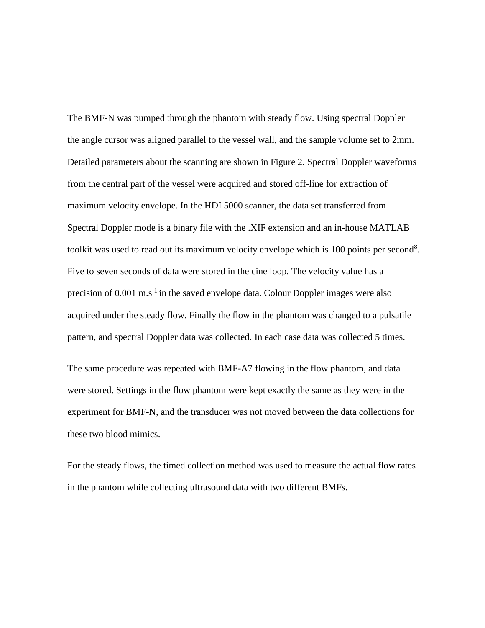The BMF-N was pumped through the phantom with steady flow. Using spectral Doppler the angle cursor was aligned parallel to the vessel wall, and the sample volume set to 2mm. Detailed parameters about the scanning are shown in Figure 2. Spectral Doppler waveforms from the central part of the vessel were acquired and stored off-line for extraction of maximum velocity envelope. In the HDI 5000 scanner, the data set transferred from Spectral Doppler mode is a binary file with the .XIF extension and an in-house MATLAB toolkit was used to read out its maximum velocity envelope which is 100 points per second<sup>8</sup>. Five to seven seconds of data were stored in the cine loop. The velocity value has a precision of  $0.001 \text{ m.s}^{-1}$  in the saved envelope data. Colour Doppler images were also acquired under the steady flow. Finally the flow in the phantom was changed to a pulsatile pattern, and spectral Doppler data was collected. In each case data was collected 5 times.

The same procedure was repeated with BMF-A7 flowing in the flow phantom, and data were stored. Settings in the flow phantom were kept exactly the same as they were in the experiment for BMF-N, and the transducer was not moved between the data collections for these two blood mimics.

For the steady flows, the timed collection method was used to measure the actual flow rates in the phantom while collecting ultrasound data with two different BMFs.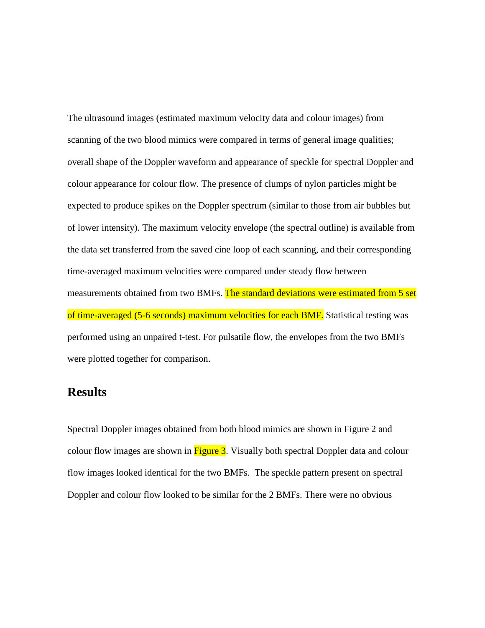The ultrasound images (estimated maximum velocity data and colour images) from scanning of the two blood mimics were compared in terms of general image qualities; overall shape of the Doppler waveform and appearance of speckle for spectral Doppler and colour appearance for colour flow. The presence of clumps of nylon particles might be expected to produce spikes on the Doppler spectrum (similar to those from air bubbles but of lower intensity). The maximum velocity envelope (the spectral outline) is available from the data set transferred from the saved cine loop of each scanning, and their corresponding time-averaged maximum velocities were compared under steady flow between measurements obtained from two BMFs. The standard deviations were estimated from 5 set of time-averaged (5-6 seconds) maximum velocities for each BMF. Statistical testing was performed using an unpaired t-test. For pulsatile flow, the envelopes from the two BMFs were plotted together for comparison.

### **Results**

Spectral Doppler images obtained from both blood mimics are shown in Figure 2 and colour flow images are shown in  $Figure 3$ . Visually both spectral Doppler data and colour flow images looked identical for the two BMFs. The speckle pattern present on spectral Doppler and colour flow looked to be similar for the 2 BMFs. There were no obvious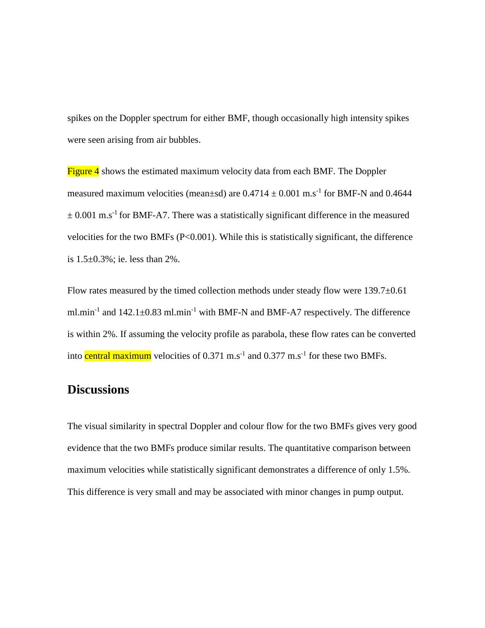spikes on the Doppler spectrum for either BMF, though occasionally high intensity spikes were seen arising from air bubbles.

Figure 4 shows the estimated maximum velocity data from each BMF. The Doppler measured maximum velocities (mean $\pm$ sd) are 0.4714  $\pm$  0.001 m.s<sup>-1</sup> for BMF-N and 0.4644  $\pm$  0.001 m.s<sup>-1</sup> for BMF-A7. There was a statistically significant difference in the measured velocities for the two BMFs (P<0.001). While this is statistically significant, the difference is 1.5±0.3%; ie. less than 2%.

Flow rates measured by the timed collection methods under steady flow were 139.7±0.61 ml.min<sup>-1</sup> and  $142.1 \pm 0.83$  ml.min<sup>-1</sup> with BMF-N and BMF-A7 respectively. The difference is within 2%. If assuming the velocity profile as parabola, these flow rates can be converted into central maximum velocities of 0.371 m.s<sup>-1</sup> and 0.377 m.s<sup>-1</sup> for these two BMFs.

### **Discussions**

The visual similarity in spectral Doppler and colour flow for the two BMFs gives very good evidence that the two BMFs produce similar results. The quantitative comparison between maximum velocities while statistically significant demonstrates a difference of only 1.5%. This difference is very small and may be associated with minor changes in pump output.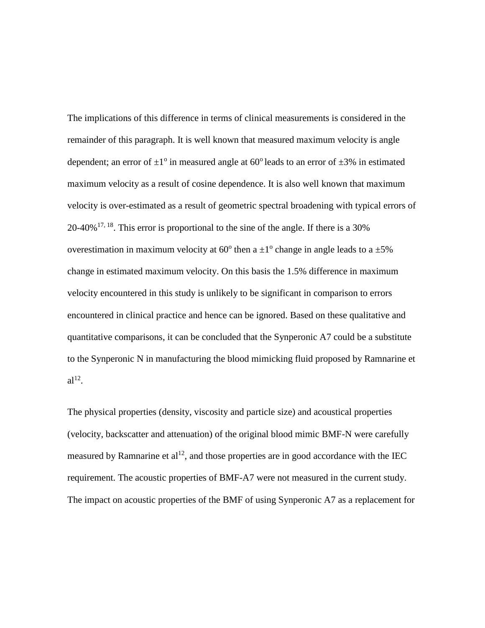The implications of this difference in terms of clinical measurements is considered in the remainder of this paragraph. It is well known that measured maximum velocity is angle dependent; an error of  $\pm 1^{\circ}$  in measured angle at 60° leads to an error of  $\pm 3\%$  in estimated maximum velocity as a result of cosine dependence. It is also well known that maximum velocity is over-estimated as a result of geometric spectral broadening with typical errors of  $20-40\%$ <sup>17, 18</sup>. This error is proportional to the sine of the angle. If there is a 30% overestimation in maximum velocity at  $60^{\circ}$  then a  $\pm 1^{\circ}$  change in angle leads to a  $\pm 5\%$ change in estimated maximum velocity. On this basis the 1.5% difference in maximum velocity encountered in this study is unlikely to be significant in comparison to errors encountered in clinical practice and hence can be ignored. Based on these qualitative and quantitative comparisons, it can be concluded that the Synperonic A7 could be a substitute to the Synperonic N in manufacturing the blood mimicking fluid proposed by Ramnarine et  $al<sup>12</sup>$  $al<sup>12</sup>$  $al<sup>12</sup>$ .

The physical properties (density, viscosity and particle size) and acoustical properties (velocity, backscatter and attenuation) of the original blood mimic BMF-N were carefully measured by Ramnarine et  $al^{12}$  $al^{12}$  $al^{12}$ , and those properties are in good accordance with the IEC requirement. The acoustic properties of BMF-A7 were not measured in the current study. The impact on acoustic properties of the BMF of using Synperonic A7 as a replacement for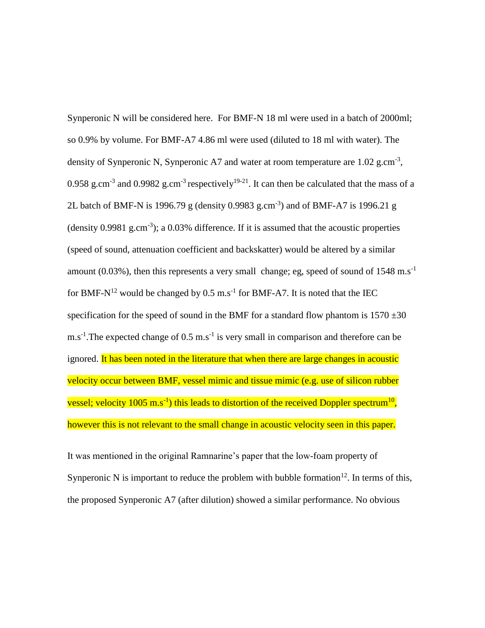Synperonic N will be considered here. For BMF-N 18 ml were used in a batch of 2000ml; so 0.9% by volume. For BMF-A7 4.86 ml were used (diluted to 18 ml with water). The density of Synperonic N, Synperonic A7 and water at room temperature are  $1.02$  g.cm<sup>-3</sup>, 0.958 g.cm<sup>-3</sup> and 0.9982 g.cm<sup>-3</sup> respectively<sup>19-21</sup>. It can then be calculated that the mass of a 2L batch of BMF-N is 1996.79 g (density  $0.9983$  g.cm<sup>-3</sup>) and of BMF-A7 is 1996.21 g  $(density\ 0.9981\ g.cm<sup>-3</sup>)$ ; a 0.03% difference. If it is assumed that the acoustic properties (speed of sound, attenuation coefficient and backskatter) would be altered by a similar amount (0.03%), then this represents a very small change; eg, speed of sound of  $1548 \text{ m.s}^{-1}$ for BMF-N<sup>12</sup> would be changed by 0.5 m.s<sup>-1</sup> for BMF-A7. It is noted that the IEC specification for the speed of sound in the BMF for a standard flow phantom is  $1570 \pm 30$  $\text{m.s}^{-1}$ . The expected change of 0.5 m.s<sup>-1</sup> is very small in comparison and therefore can be ignored. It has been noted in the literature that when there are large changes in acoustic velocity occur between BMF, vessel mimic and tissue mimic (e.g. use of silicon rubber vessel; velocity 1005 m.s<sup>-1</sup>) this leads to distortion of the received Doppler spectrum<sup>10</sup>, however this is not relevant to the small change in acoustic velocity seen in this paper.

It was mentioned in the original Ramnarine's paper that the low-foam property of Synperonic N is important to reduce the problem with bubble formation<sup>12</sup>. In terms of this, the proposed Synperonic A7 (after dilution) showed a similar performance. No obvious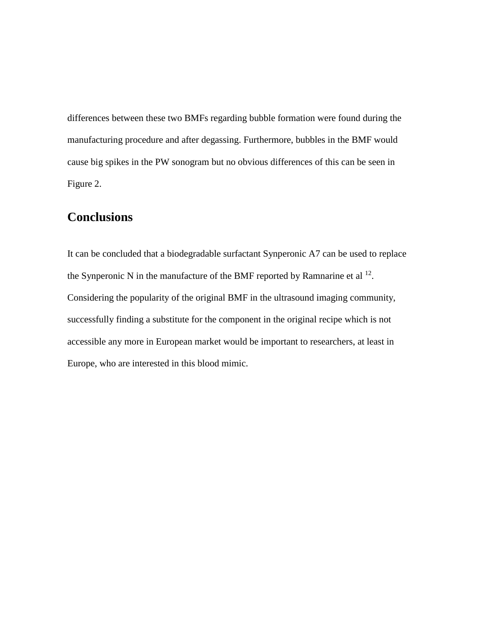differences between these two BMFs regarding bubble formation were found during the manufacturing procedure and after degassing. Furthermore, bubbles in the BMF would cause big spikes in the PW sonogram but no obvious differences of this can be seen in Figure 2.

## **Conclusions**

It can be concluded that a biodegradable surfactant Synperonic A7 can be used to replace the Synperonic N in the manufacture of the BMF reported by Ramnarine et al  $^{12}$ . Considering the popularity of the original BMF in the ultrasound imaging community, successfully finding a substitute for the component in the original recipe which is not accessible any more in European market would be important to researchers, at least in Europe, who are interested in this blood mimic.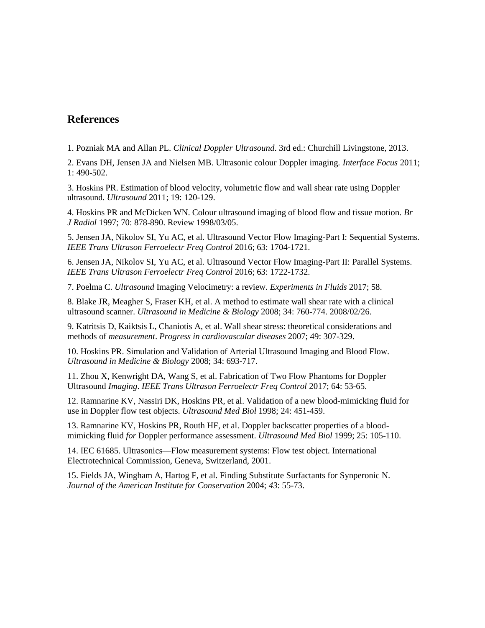### **References**

<span id="page-13-0"></span>1. Pozniak MA and Allan PL. *Clinical Doppler Ultrasound*. 3rd ed.: Churchill Livingstone, 2013.

<span id="page-13-1"></span>2. Evans DH, Jensen JA and Nielsen MB. Ultrasonic colour Doppler imaging. *Interface Focus* 2011; 1: 490-502.

3. Hoskins PR. Estimation of blood velocity, volumetric flow and wall shear rate using Doppler ultrasound. *Ultrasound* 2011; 19: 120-129.

4. Hoskins PR and McDicken WN. Colour ultrasound imaging of blood flow and tissue motion. *Br J Radiol* 1997; 70: 878-890. Review 1998/03/05.

<span id="page-13-2"></span>5. Jensen JA, Nikolov SI, Yu AC, et al. Ultrasound Vector Flow Imaging-Part I: Sequential Systems. *IEEE Trans Ultrason Ferroelectr Freq Control* 2016; 63: 1704-1721.

6. Jensen JA, Nikolov SI, Yu AC, et al. Ultrasound Vector Flow Imaging-Part II: Parallel Systems. *IEEE Trans Ultrason Ferroelectr Freq Control* 2016; 63: 1722-1732.

7. Poelma C. *Ultrasound* Imaging Velocimetry: a review. *Experiments in Fluids* 2017; 58.

<span id="page-13-3"></span>8. Blake JR, Meagher S, Fraser KH, et al. A method to estimate wall shear rate with a clinical ultrasound scanner. *Ultrasound in Medicine & Biology* 2008; 34: 760-774. 2008/02/26.

<span id="page-13-4"></span>9. Katritsis D, Kaiktsis L, Chaniotis A, et al. Wall shear stress: theoretical considerations and methods of *measurement*. *Progress in cardiovascular diseases* 2007; 49: 307-329.

<span id="page-13-5"></span>10. Hoskins PR. Simulation and Validation of Arterial Ultrasound Imaging and Blood Flow. *Ultrasound in Medicine & Biology* 2008; 34: 693-717.

<span id="page-13-6"></span>11. Zhou X, Kenwright DA, Wang S, et al. Fabrication of Two Flow Phantoms for Doppler Ultrasound *Imaging*. *IEEE Trans Ultrason Ferroelectr Freq Control* 2017; 64: 53-65.

<span id="page-13-7"></span>12. Ramnarine KV, Nassiri DK, Hoskins PR, et al. Validation of a new blood-mimicking fluid for use in Doppler flow test objects. *Ultrasound Med Biol* 1998; 24: 451-459.

<span id="page-13-8"></span>13. Ramnarine KV, Hoskins PR, Routh HF, et al. Doppler backscatter properties of a bloodmimicking fluid *for* Doppler performance assessment. *Ultrasound Med Biol* 1999; 25: 105-110.

<span id="page-13-9"></span>14. IEC 61685. Ultrasonics—Flow measurement systems: Flow test object. International Electrotechnical Commission, Geneva, Switzerland, 2001.

<span id="page-13-10"></span>15. Fields JA, Wingham A, Hartog F, et al. Finding Substitute Surfactants for Synperonic N. *Journal of the American Institute for Conservation* 2004; *43*: 55-73.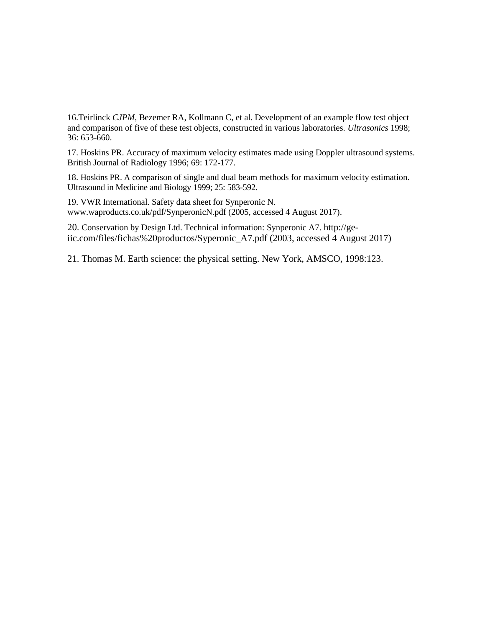<span id="page-14-0"></span>16.Teirlinck *CJPM*, Bezemer RA, Kollmann C, et al. Development of an example flow test object and comparison of five of these test objects, constructed in various laboratories. *Ultrasonics* 1998; 36: 653-660.

17. Hoskins PR. Accuracy of maximum velocity estimates made using Doppler ultrasound systems. British Journal of Radiology 1996; 69: 172-177.

18. Hoskins PR. A comparison of single and dual beam methods for maximum velocity estimation. Ultrasound in Medicine and Biology 1999; 25: 583-592.

19. VWR International. Safety data sheet for Synperonic N. www.waproducts.co.uk/pdf/SynperonicN.pdf (2005, accessed 4 August 2017).

20. Conservation by Design Ltd. Technical information: Synperonic A7. http://geiic.com/files/fichas%20productos/Syperonic\_A7.pdf (2003, accessed 4 August 2017)

21. Thomas M. Earth science: the physical setting. New York, AMSCO, 1998:123.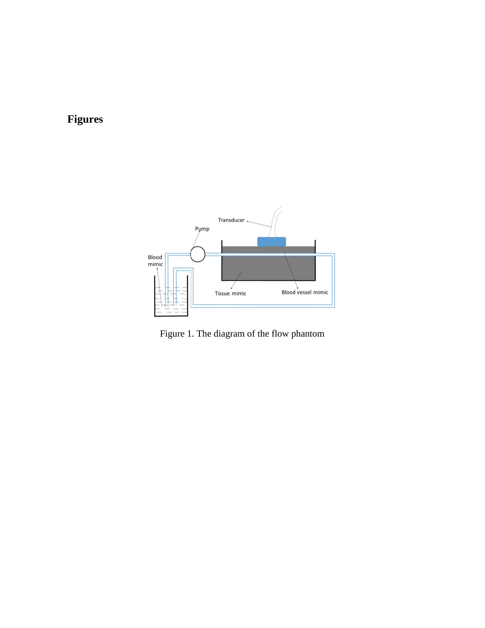# **Figures**



Figure 1. The diagram of the flow phantom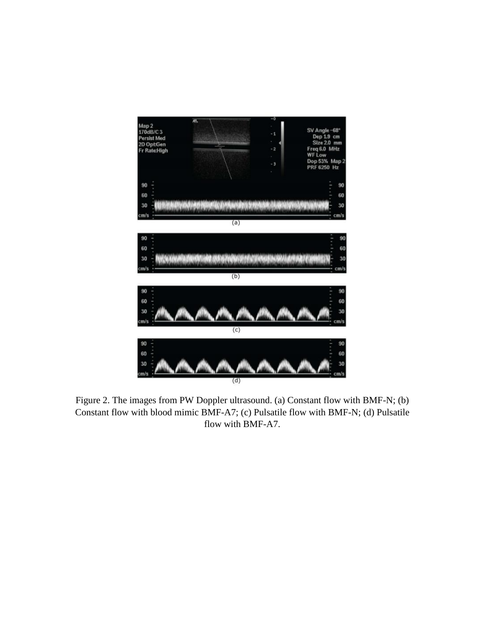

Figure 2. The images from PW Doppler ultrasound. (a) Constant flow with BMF-N; (b) Constant flow with blood mimic BMF-A7; (c) Pulsatile flow with BMF-N; (d) Pulsatile flow with BMF-A7.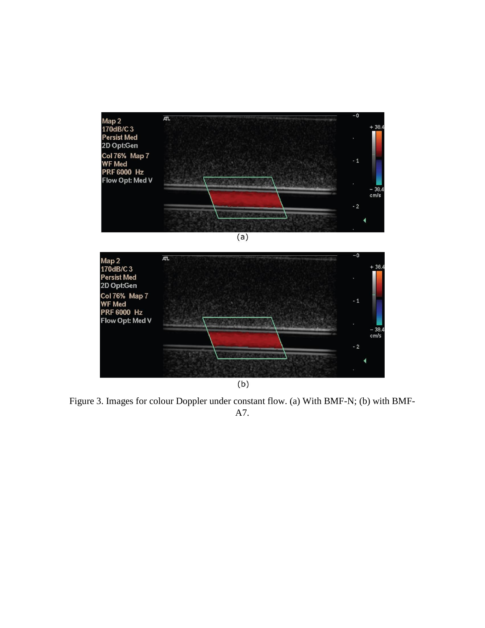

Figure 3. Images for colour Doppler under constant flow. (a) With BMF-N; (b) with BMF-A7.